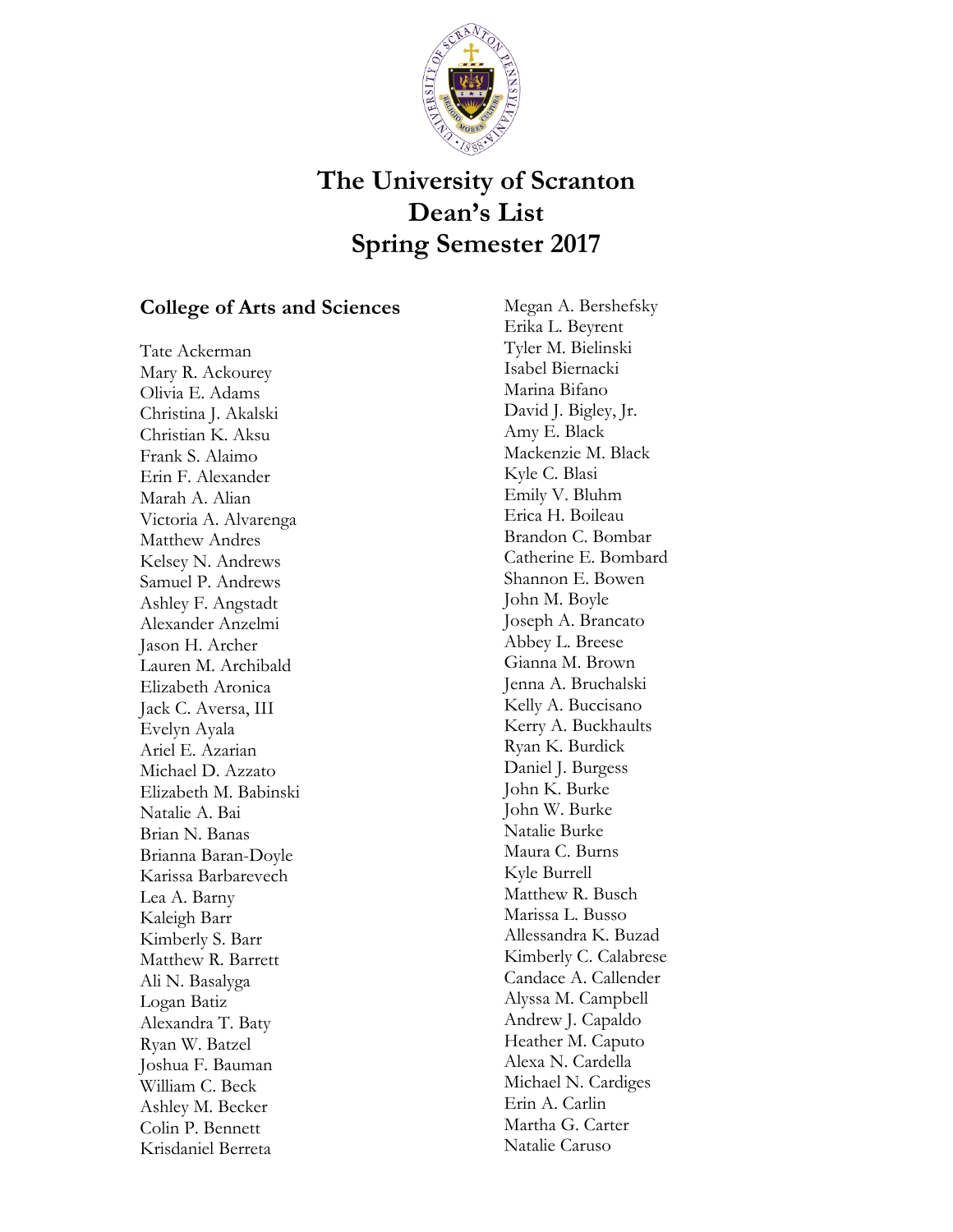

## **The University of Scranton Dean's List Spring Semester 2017**

## **College of Arts and Sciences**

Tate Ackerman Mary R. Ackourey Olivia E. Adams Christina J. Akalski Christian K. Aksu Frank S. Alaimo Erin F. Alexander Marah A. Alian Victoria A. Alvarenga Matthew Andres Kelsey N. Andrews Samuel P. Andrews Ashley F. Angstadt Alexander Anzelmi Jason H. Archer Lauren M. Archibald Elizabeth Aronica Jack C. Aversa, III Evelyn Ayala Ariel E. Azarian Michael D. Azzato Elizabeth M. Babinski Natalie A. Bai Brian N. Banas Brianna Baran-Doyle Karissa Barbarevech Lea A. Barny Kaleigh Barr Kimberly S. Barr Matthew R. Barrett Ali N. Basalyga Logan Batiz Alexandra T. Baty Ryan W. Batzel Joshua F. Bauman William C. Beck Ashley M. Becker Colin P. Bennett Krisdaniel Berreta

Megan A. Bershefsky Erika L. Beyrent Tyler M. Bielinski Isabel Biernacki Marina Bifano David J. Bigley, Jr. Amy E. Black Mackenzie M. Black Kyle C. Blasi Emily V. Bluhm Erica H. Boileau Brandon C. Bombar Catherine E. Bombard Shannon E. Bowen John M. Boyle Joseph A. Brancato Abbey L. Breese Gianna M. Brown Jenna A. Bruchalski Kelly A. Buccisano Kerry A. Buckhaults Ryan K. Burdick Daniel J. Burgess John K. Burke John W. Burke Natalie Burke Maura C. Burns Kyle Burrell Matthew R. Busch Marissa L. Busso Allessandra K. Buzad Kimberly C. Calabrese Candace A. Callender Alyssa M. Campbell Andrew J. Capaldo Heather M. Caputo Alexa N. Cardella Michael N. Cardiges Erin A. Carlin Martha G. Carter Natalie Caruso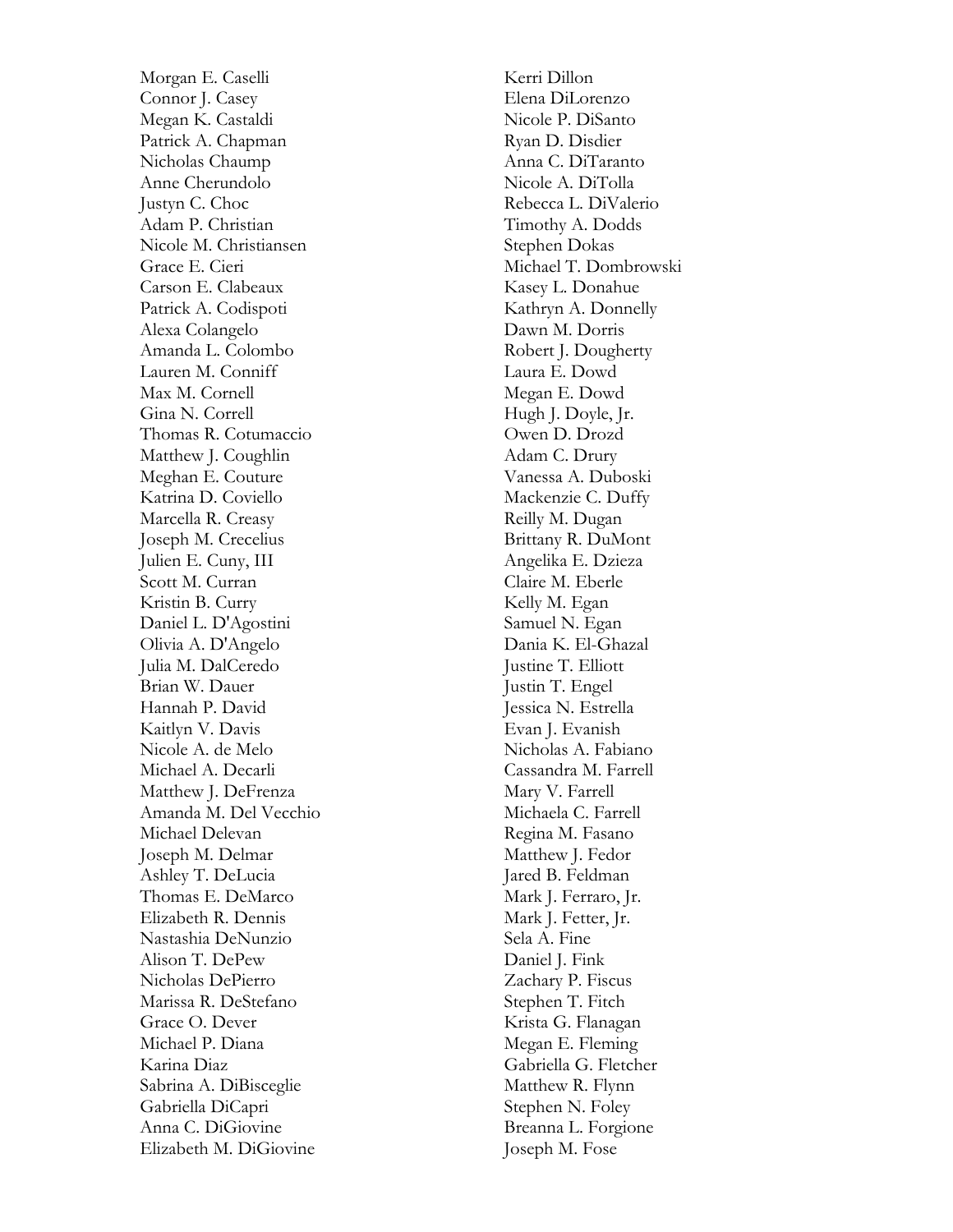Morgan E. Caselli Connor J. Casey Megan K. Castaldi Patrick A. Chapman Nicholas Chaump Anne Cherundolo Justyn C. Choc Adam P. Christian Nicole M. Christiansen Grace E. Cieri Carson E. Clabeaux Patrick A. Codispoti Alexa Colangelo Amanda L. Colombo Lauren M. Conniff Max M. Cornell Gina N. Correll Thomas R. Cotumaccio Matthew J. Coughlin Meghan E. Couture Katrina D. Coviello Marcella R. Creasy Joseph M. Crecelius Julien E. Cuny, III Scott M. Curran Kristin B. Curry Daniel L. D'Agostini Olivia A. D'Angelo Julia M. DalCeredo Brian W. Dauer Hannah P. David Kaitlyn V. Davis Nicole A. de Melo Michael A. Decarli Matthew J. DeFrenza Amanda M. Del Vecchio Michael Delevan Joseph M. Delmar Ashley T. DeLucia Thomas E. DeMarco Elizabeth R. Dennis Nastashia DeNunzio Alison T. DePew Nicholas DePierro Marissa R. DeStefano Grace O. Dever Michael P. Diana Karina Diaz Sabrina A. DiBisceglie Gabriella DiCapri Anna C. DiGiovine Elizabeth M. DiGiovine

Kerri Dillon Elena DiLorenzo Nicole P. DiSanto Ryan D. Disdier Anna C. DiTaranto Nicole A. DiTolla Rebecca L. DiValerio Timothy A. Dodds Stephen Dokas Michael T. Dombrowski Kasey L. Donahue Kathryn A. Donnelly Dawn M. Dorris Robert J. Dougherty Laura E. Dowd Megan E. Dowd Hugh J. Doyle, Jr. Owen D. Drozd Adam C. Drury Vanessa A. Duboski Mackenzie C. Duffy Reilly M. Dugan Brittany R. DuMont Angelika E. Dzieza Claire M. Eberle Kelly M. Egan Samuel N. Egan Dania K. El -Ghazal Justine T. Elliott Justin T. Engel Jessica N. Estrella Evan J. Evanish Nicholas A. Fabiano Cassandra M. Farrell Mary V. Farrell Michaela C. Farrell Regina M. Fasano Matthew J. Fedor Jared B. Feldman Mark J. Ferraro, Jr. Mark J. Fetter, Jr. Sela A. Fine Daniel J. Fink Zachary P. Fiscus Stephen T. Fitch Krista G. Flanagan Megan E. Fleming Gabriella G. Fletcher Matthew R. Flynn Stephen N. Foley Breanna L. Forgione Joseph M. Fose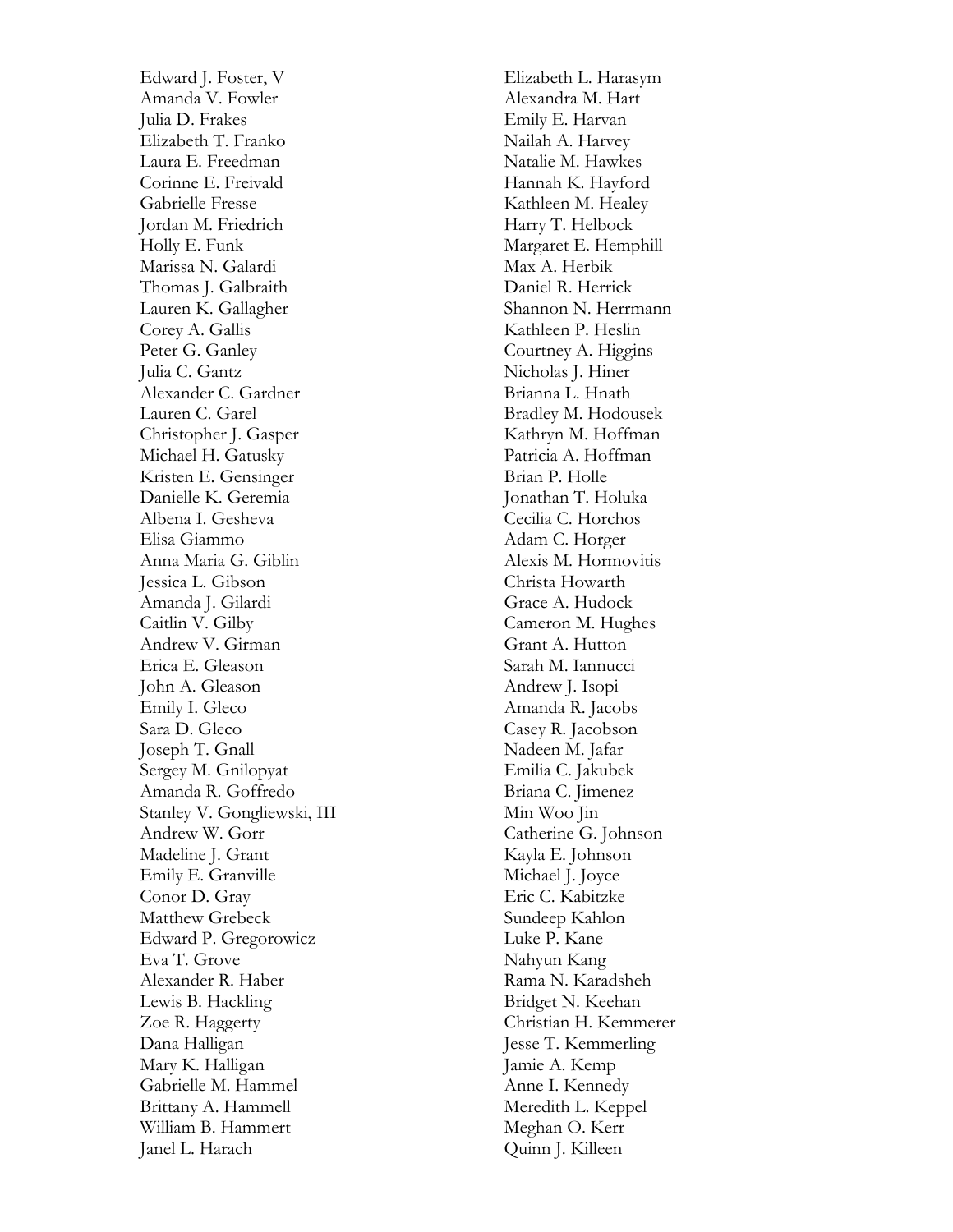Edward J. Foster, V Amanda V. Fowler Julia D. Frakes Elizabeth T. Franko Laura E. Freedman Corinne E. Freivald Gabrielle Fresse Jordan M. Friedrich Holly E. Funk Marissa N. Galardi Thomas J. Galbraith Lauren K. Gallagher Corey A. Gallis Peter G. Ganley Julia C. Gantz Alexander C. Gardner Lauren C. Garel Christopher J. Gasper Michael H. Gatusky Kristen E. Gensinger Danielle K. Geremia Albena I. Gesheva Elisa Giammo Anna Maria G. Giblin Jessica L. Gibson Amanda J. Gilardi Caitlin V. Gilby Andrew V. Girman Erica E. Gleason John A. Gleason Emily I. Gleco Sara D. Gleco Joseph T. Gnall Sergey M. Gnilopyat Amanda R. Goffredo Stanley V. Gongliewski, III Andrew W. Gorr Madeline J. Grant Emily E. Granville Conor D. Gray Matthew Grebeck Edward P. Gregorowicz Eva T. Grove Alexander R. Haber Lewis B. Hackling Zoe R. Haggerty Dana Halligan Mary K. Halligan Gabrielle M. Hammel Brittany A. Hammell William B. Hammert Janel L. Harach

Elizabeth L. Harasym Alexandra M. Hart Emily E. Harvan Nailah A. Harvey Natalie M. Hawkes Hannah K. Hayford Kathleen M. Healey Harry T. Helbock Margaret E. Hemphill Max A. Herbik Daniel R. Herrick Shannon N. Herrmann Kathleen P. Heslin Courtney A. Higgins Nicholas J. Hiner Brianna L. Hnath Bradley M. Hodousek Kathryn M. Hoffman Patricia A. Hoffman Brian P. Holle Jonathan T. Holuka Cecilia C. Horchos Adam C. Horger Alexis M. Hormovitis Christa Howarth Grace A. Hudock Cameron M. Hughes Grant A. Hutton Sarah M. Iannucci Andrew J. Isopi Amanda R. Jacobs Casey R. Jacobson Nadeen M. Jafar Emilia C. Jakubek Briana C. Jimenez Min Woo Jin Catherine G. Johnson Kayla E. Johnson Michael J. Joyce Eric C. Kabitzke Sundeep Kahlon Luke P. Kane Nahyun Kang Rama N. Karadsheh Bridget N. Keehan Christian H. Kemmerer Jesse T. Kemmerling Jamie A. Kemp Anne I. Kennedy Meredith L. Keppel Meghan O. Kerr Quinn J. Killeen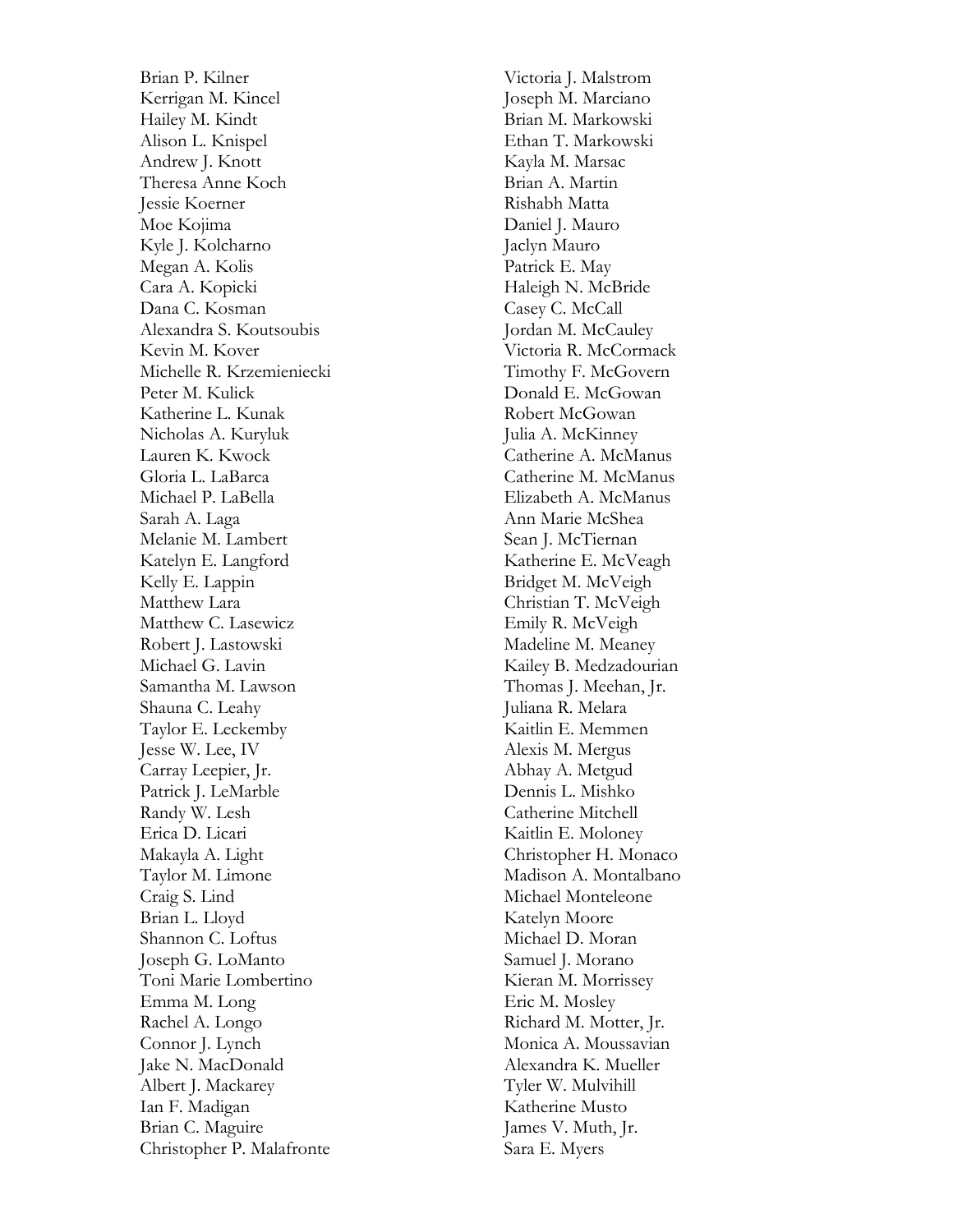Brian P. Kilner Kerrigan M. Kincel Hailey M. Kindt Alison L. Knispel Andrew J. Knott Theresa Anne Koch Jessie Koerner Moe Kojima Kyle J. Kolcharno Megan A. Kolis Cara A. Kopicki Dana C. Kosman Alexandra S. Koutsoubis Kevin M. Kover Michelle R. Krzemieniecki Peter M. Kulick Katherine L. Kunak Nicholas A. Kuryluk Lauren K. Kwock Gloria L. LaBarca Michael P. LaBella Sarah A. Laga Melanie M. Lambert Katelyn E. Langford Kelly E. Lappin Matthew Lara Matthew C. Lasewicz Robert J. Lastowski Michael G. Lavin Samantha M. Lawson Shauna C. Leahy Taylor E. Leckemby Jesse W. Lee, IV Carray Leepier, Jr. Patrick J. LeMarble Randy W. Lesh Erica D. Licari Makayla A. Light Taylor M. Limone Craig S. Lind Brian L. Lloyd Shannon C. Loftus Joseph G. LoManto Toni Marie Lombertino Emma M. Long Rachel A. Longo Connor J. Lynch Jake N. MacDonald Albert J. Mackarey Ian F. Madigan Brian C. Maguire Christopher P. Malafronte

Victoria J. Malstrom Joseph M. Marciano Brian M. Markowski Ethan T. Markowski Kayla M. Marsac Brian A. Martin Rishabh Matta Daniel J. Mauro Jaclyn Mauro Patrick E. May Haleigh N. McBride Casey C. McCall Jordan M. McCauley Victoria R. McCormack Timothy F. McGovern Donald E. McGowan Robert McGowan Julia A. McKinney Catherine A. McManus Catherine M. McManus Elizabeth A. McManus Ann Marie McShea Sean J. McTiernan Katherine E. McVeagh Bridget M. McVeigh Christian T. McVeigh Emily R. McVeigh Madeline M. Meaney Kailey B. Medzadourian Thomas J. Meehan, Jr. Juliana R. Melara Kaitlin E. Memmen Alexis M. Mergus Abhay A. Metgud Dennis L. Mishko Catherine Mitchell Kaitlin E. Moloney Christopher H. Monaco Madison A. Montalbano Michael Monteleone Katelyn Moore Michael D. Moran Samuel J. Morano Kieran M. Morrissey Eric M. Mosley Richard M. Motter, Jr. Monica A. Moussavian Alexandra K. Mueller Tyler W. Mulvihill Katherine Musto James V. Muth, Jr. Sara E. Myers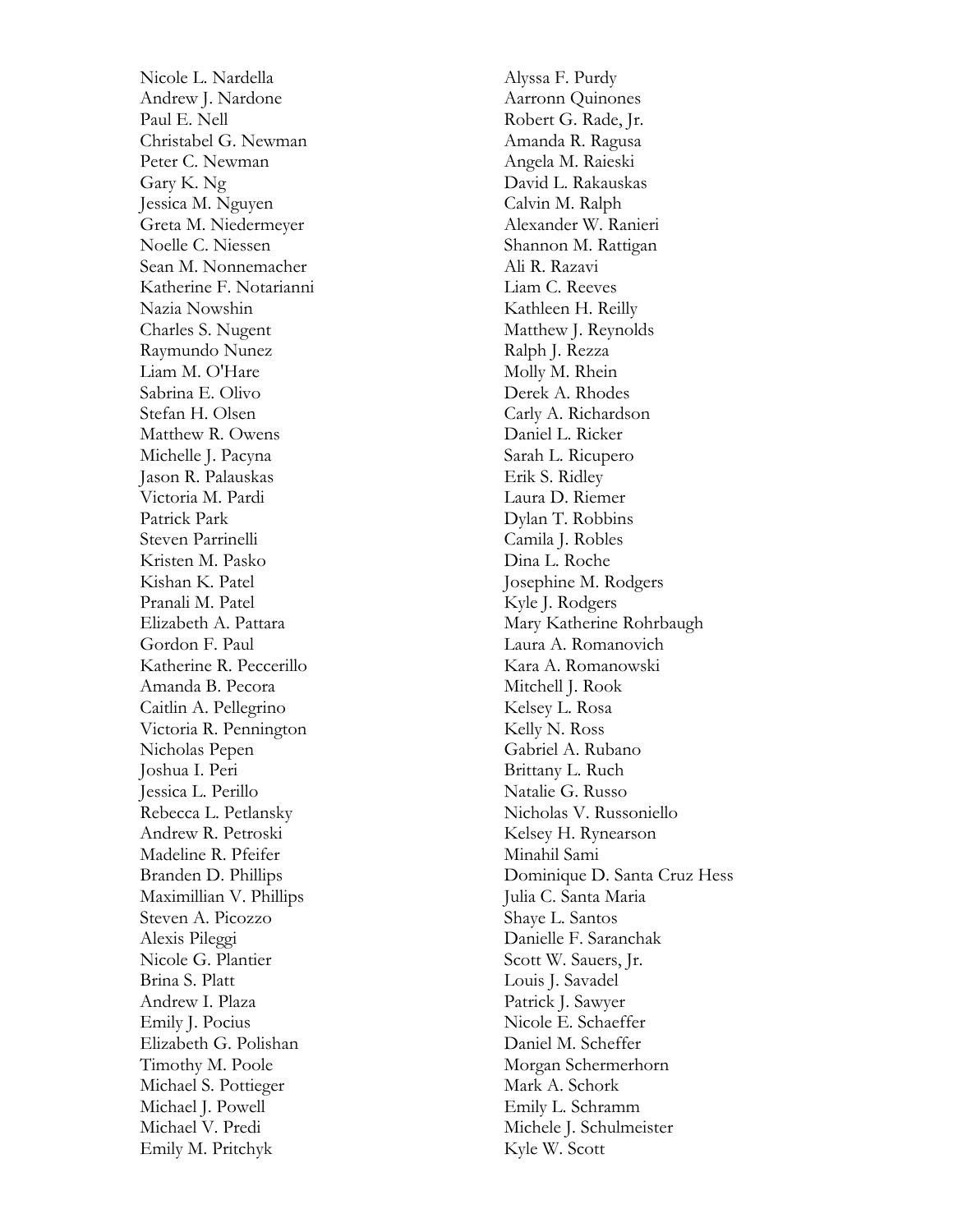Nicole L. Nardella Andrew J. Nardone Paul E. Nell Christabel G. Newman Peter C. Newman Gary K. Ng Jessica M. Nguyen Greta M. Niedermeyer Noelle C. Niessen Sean M. Nonnemacher Katherine F. Notarianni Nazia Nowshin Charles S. Nugent Raymundo Nunez Liam M. O'Hare Sabrina E. Olivo Stefan H. Olsen Matthew R. Owens Michelle J. Pacyna Jason R. Palauskas Victoria M. Pardi Patrick Park Steven Parrinelli Kristen M. Pasko Kishan K. Patel Pranali M. Patel Elizabeth A. Pattara Gordon F. Paul Katherine R. Peccerillo Amanda B. Pecora Caitlin A. Pellegrino Victoria R. Pennington Nicholas Pepen Joshua I. Peri Jessica L. Perillo Rebecca L. Petlansky Andrew R. Petroski Madeline R. Pfeifer Branden D. Phillips Maximillian V. Phillips Steven A. Picozzo Alexis Pileggi Nicole G. Plantier Brina S. Platt Andrew I. Plaza Emily J. Pocius Elizabeth G. Polishan Timothy M. Poole Michael S. Pottieger Michael J. Powell Michael V. Predi Emily M. Pritchyk

Alyssa F. Purdy Aarronn Quinones Robert G. Rade, Jr. Amanda R. Ragusa Angela M. Raieski David L. Rakauskas Calvin M. Ralph Alexander W. Ranieri Shannon M. Rattigan Ali R. Razavi Liam C. Reeves Kathleen H. Reilly Matthew J. Reynolds Ralph J. Rezza Molly M. Rhein Derek A. Rhodes Carly A. Richardson Daniel L. Ricker Sarah L. Ricupero Erik S. Ridley Laura D. Riemer Dylan T. Robbins Camila J. Robles Dina L. Roche Josephine M. Rodgers Kyle J. Rodgers Mary Katherine Rohrbaugh Laura A. Romanovich Kara A. Romanowski Mitchell J. Rook Kelsey L. Rosa Kelly N. Ross Gabriel A. Rubano Brittany L. Ruch Natalie G. Russo Nicholas V. Russoniello Kelsey H. Rynearson Minahil Sami Dominique D. Santa Cruz Hess Julia C. Santa Maria Shaye L. Santos Danielle F. Saranchak Scott W. Sauers, Jr. Louis J. Savadel Patrick J. Sawyer Nicole E. Schaeffer Daniel M. Scheffer Morgan Schermerhorn Mark A. Schork Emily L. Schramm Michele J. Schulmeister Kyle W. Scott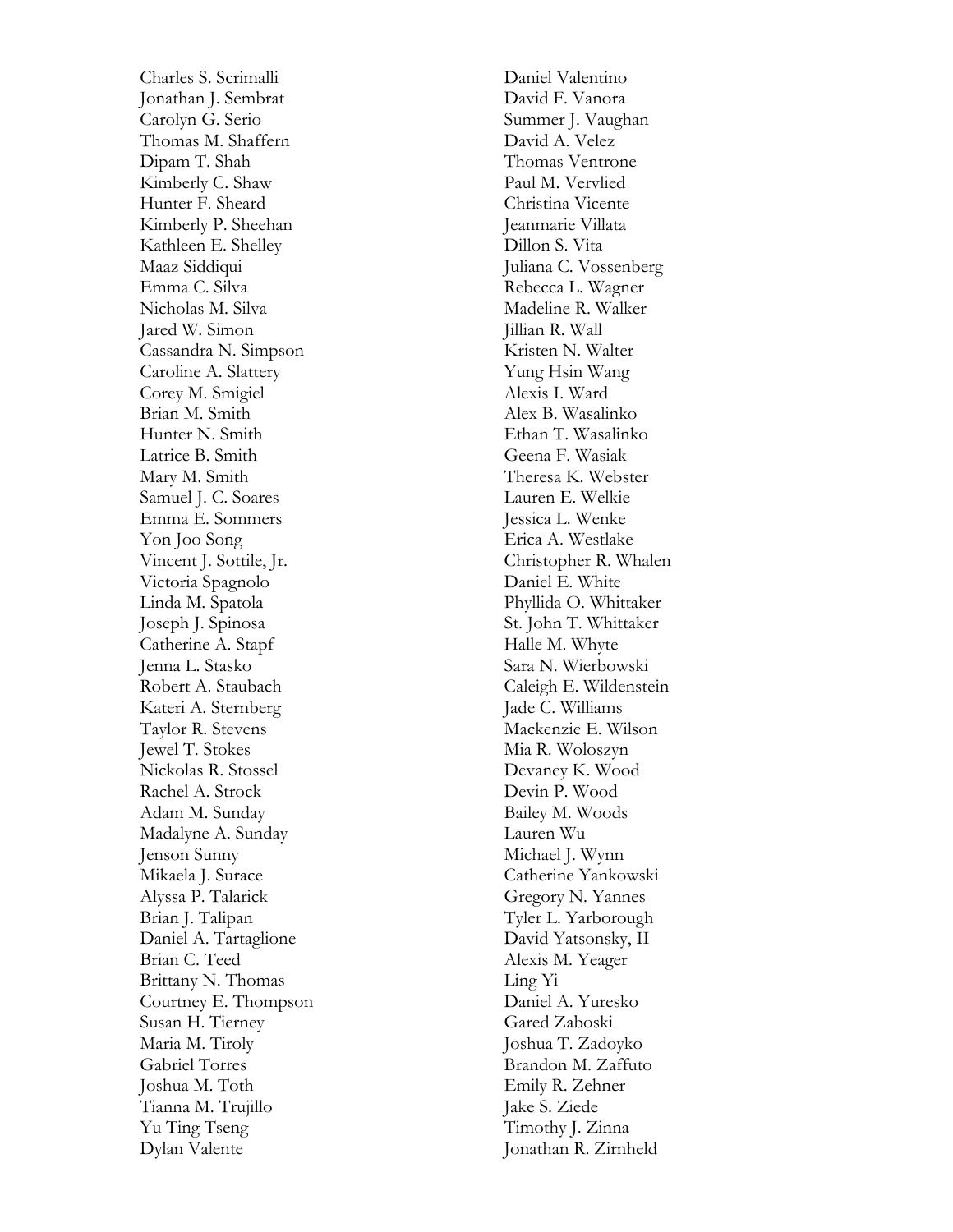Charles S. Scrimalli Jonathan J. Sembrat Carolyn G. Serio Thomas M. Shaffern Dipam T. Shah Kimberly C. Shaw Hunter F. Sheard Kimberly P. Sheehan Kathleen E. Shelley Maaz Siddiqui Emma C. Silva Nicholas M. Silva Jared W. Simon Cassandra N. Simpson Caroline A. Slattery Corey M. Smigiel Brian M. Smith Hunter N. Smith Latrice B. Smith Mary M. Smith Samuel J. C. Soares Emma E. Sommers Yon Joo Song Vincent J. Sottile, Jr. Victoria Spagnolo Linda M. Spatola Joseph J. Spinosa Catherine A. Stapf Jenna L. Stasko Robert A. Staubach Kateri A. Sternberg Taylor R. Stevens Jewel T. Stokes Nickolas R. Stossel Rachel A. Strock Adam M. Sunday Madalyne A. Sunday Jenson Sunny Mikaela J. Surace Alyssa P. Talarick Brian J. Talipan Daniel A. Tartaglione Brian C. Teed Brittany N. Thomas Courtney E. Thompson Susan H. Tierney Maria M. Tiroly Gabriel Torres Joshua M. Toth Tianna M. Trujillo Yu Ting Tseng Dylan Valente

Daniel Valentino David F. Vanora Summer J. Vaughan David A. Velez Thomas Ventrone Paul M. Vervlied Christina Vicente Jeanmarie Villata Dillon S. Vita Juliana C. Vossenberg Rebecca L. Wagner Madeline R. Walker Jillian R. Wall Kristen N. Walter Yung Hsin Wang Alexis I. Ward Alex B. Wasalinko Ethan T. Wasalinko Geena F. Wasiak Theresa K. Webster Lauren E. Welkie Jessica L. Wenke Erica A. Westlake Christopher R. Whalen Daniel E. White Phyllida O. Whittaker St. John T. Whittaker Halle M. Whyte Sara N. Wierbowski Caleigh E. Wildenstein Jade C. Williams Mackenzie E. Wilson Mia R. Woloszyn Devaney K. Wood Devin P. Wood Bailey M. Woods Lauren Wu Michael J. Wynn Catherine Yankowski Gregory N. Yannes Tyler L. Yarborough David Yatsonsky, II Alexis M. Yeager Ling Yi Daniel A. Yuresko Gared Zaboski Joshua T. Zadoyko Brandon M. Zaffuto Emily R. Zehner Jake S. Ziede Timothy J. Zinna Jonathan R. Zirnheld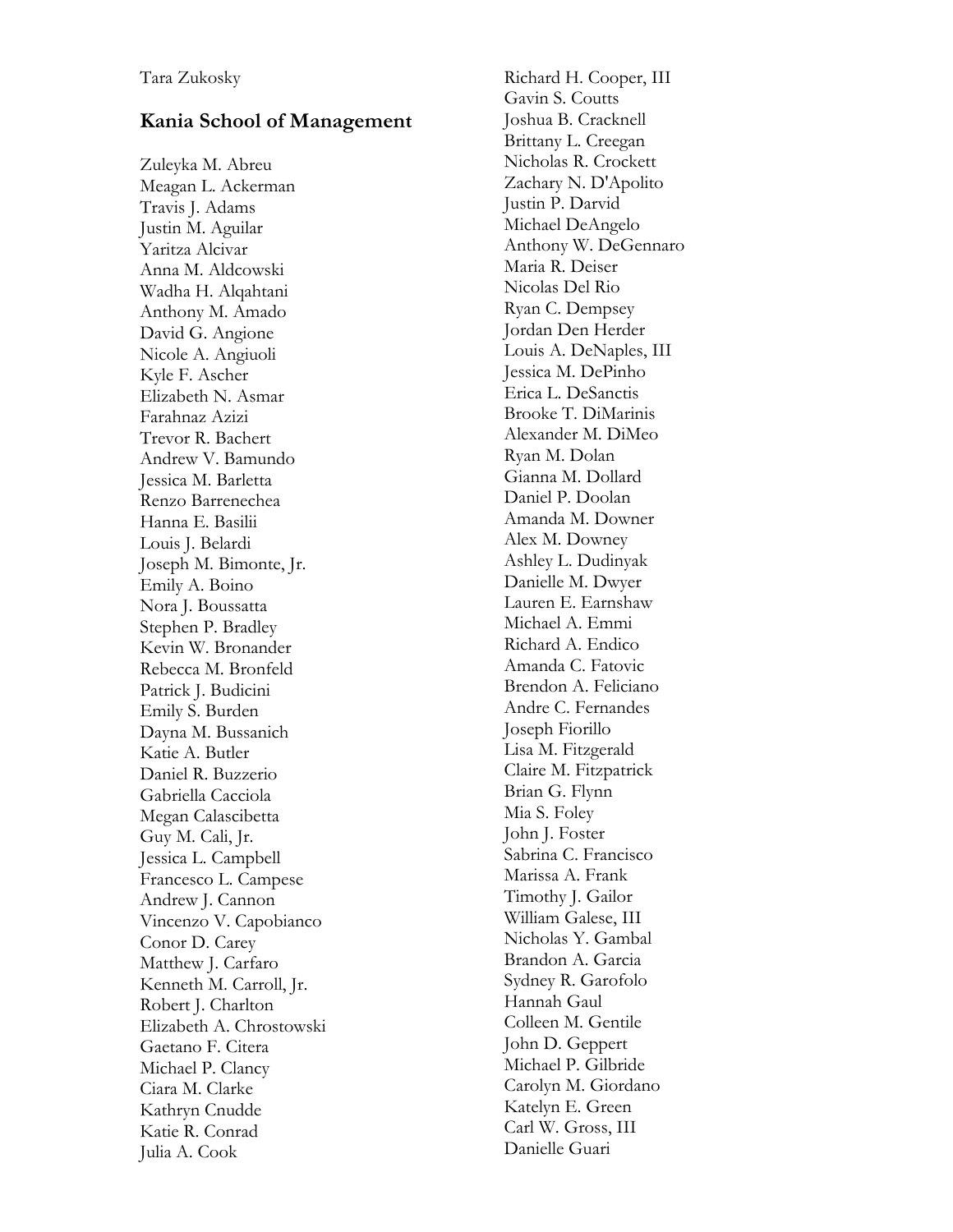## **Kania School of Management**

Zuleyka M. Abreu Meagan L. Ackerman Travis J. Adams Justin M. Aguilar Yaritza Alcivar Anna M. Aldcowski Wadha H. Alqahtani Anthony M. Amado David G. Angione Nicole A. Angiuoli Kyle F. Ascher Elizabeth N. Asmar Farahnaz Azizi Trevor R. Bachert Andrew V. Bamundo Jessica M. Barletta Renzo Barrenechea Hanna E. Basilii Louis J. Belardi Joseph M. Bimonte, Jr. Emily A. Boino Nora J. Boussatta Stephen P. Bradley Kevin W. Bronander Rebecca M. Bronfeld Patrick J. Budicini Emily S. Burden Dayna M. Bussanich Katie A. Butler Daniel R. Buzzerio Gabriella Cacciola Megan Calascibetta Guy M. Cali, Jr. Jessica L. Campbell Francesco L. Campese Andrew J. Cannon Vincenzo V. Capobianco Conor D. Carey Matthew J. Carfaro Kenneth M. Carroll, Jr. Robert J. Charlton Elizabeth A. Chrostowski Gaetano F. Citera Michael P. Clancy Ciara M. Clarke Kathryn Cnudde Katie R. Conrad Julia A. Cook

Richard H. Cooper, III Gavin S. Coutts Joshua B. Cracknell Brittany L. Creegan Nicholas R. Crockett Zachary N. D'Apolito Justin P. Darvid Michael DeAngelo Anthony W. DeGennaro Maria R. Deiser Nicolas Del Rio Ryan C. Dempsey Jordan Den Herder Louis A. DeNaples, III Jessica M. DePinho Erica L. DeSanctis Brooke T. DiMarinis Alexander M. DiMeo Ryan M. Dolan Gianna M. Dollard Daniel P. Doolan Amanda M. Downer Alex M. Downey Ashley L. Dudinyak Danielle M. Dwyer Lauren E. Earnshaw Michael A. Emmi Richard A. Endico Amanda C. Fatovic Brendon A. Feliciano Andre C. Fernandes Joseph Fiorillo Lisa M. Fitzgerald Claire M. Fitzpatrick Brian G. Flynn Mia S. Foley John J. Foster Sabrina C. Francisco Marissa A. Frank Timothy J. Gailor William Galese, III Nicholas Y. Gambal Brandon A. Garcia Sydney R. Garofolo Hannah Gaul Colleen M. Gentile John D. Geppert Michael P. Gilbride Carolyn M. Giordano Katelyn E. Green Carl W. Gross, III Danielle Guari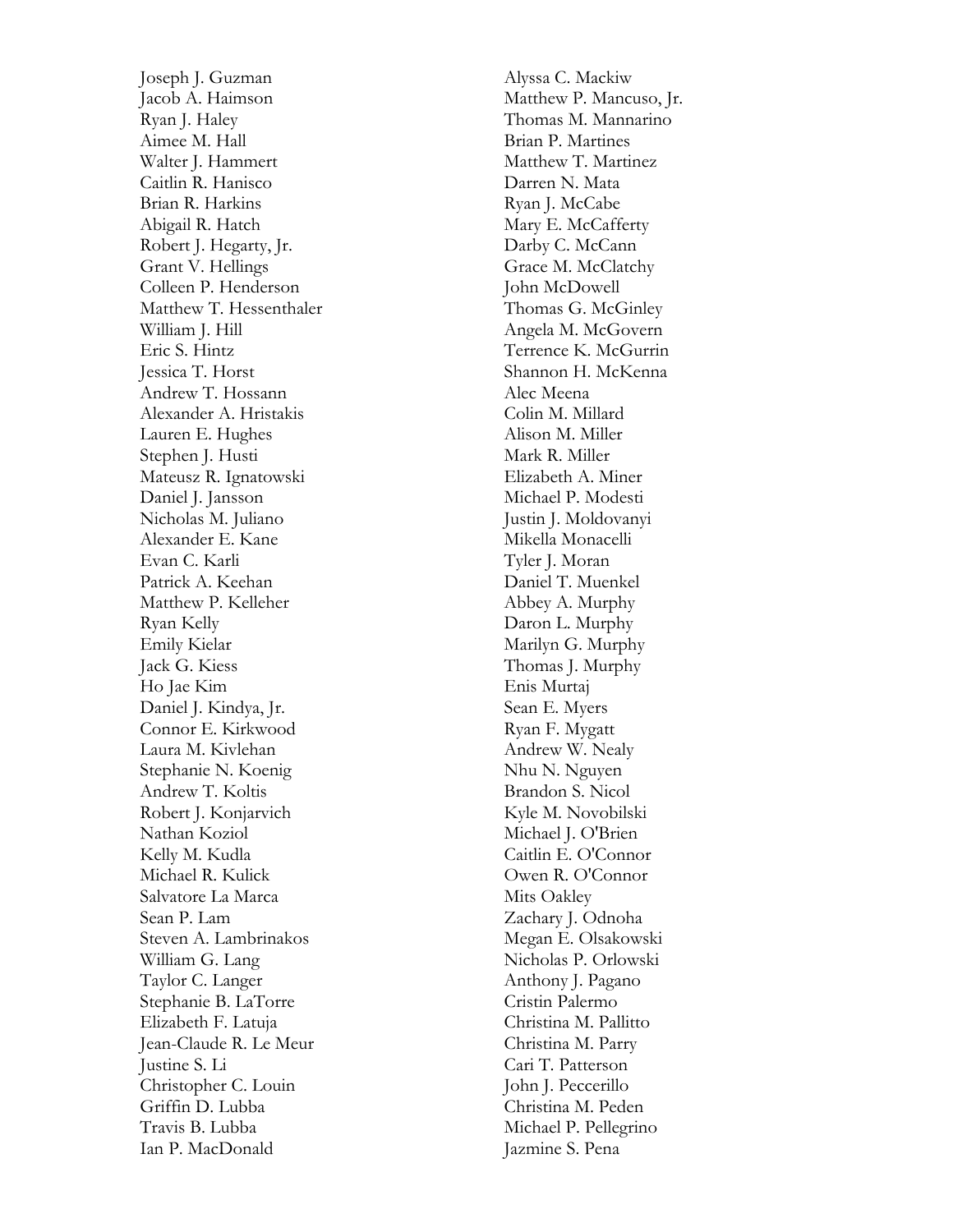Joseph J. Guzman Jacob A. Haimson Ryan J. Haley Aimee M. Hall Walter J. Hammert Caitlin R. Hanisco Brian R. Harkins Abigail R. Hatch Robert J. Hegarty, Jr. Grant V. Hellings Colleen P. Henderson Matthew T. Hessenthaler William J. Hill Eric S. Hintz Jessica T. Horst Andrew T. Hossann Alexander A. Hristakis Lauren E. Hughes Stephen J. Husti Mateusz R. Ignatowski Daniel J. Jansson Nicholas M. Juliano Alexander E. Kane Evan C. Karli Patrick A. Keehan Matthew P. Kelleher Ryan Kelly Emily Kielar Jack G. Kiess Ho Jae Kim Daniel J. Kindya, Jr. Connor E. Kirkwood Laura M. Kivlehan Stephanie N. Koenig Andrew T. Koltis Robert J. Konjarvich Nathan Koziol Kelly M. Kudla Michael R. Kulick Salvatore La Marca Sean P. Lam Steven A. Lambrinakos William G. Lang Taylor C. Langer Stephanie B. LaTorre Elizabeth F. Latuja Jean -Claude R. Le Meur Justine S. Li Christopher C. Louin Griffin D. Lubba Travis B. Lubba Ian P. MacDonald

Alyssa C. Mackiw Matthew P. Mancuso, Jr. Thomas M. Mannarino Brian P. Martines Matthew T. Martinez Darren N. Mata Ryan J. McCabe Mary E. McCafferty Darby C. McCann Grace M. McClatchy John McDowell Thomas G. McGinley Angela M. McGovern Terrence K. McGurrin Shannon H. McKenna Alec Meena Colin M. Millard Alison M. Miller Mark R. Miller Elizabeth A. Miner Michael P. Modesti Justin J. Moldovanyi Mikella Monacelli Tyler J. Moran Daniel T. Muenkel Abbey A. Murphy Daron L. Murphy Marilyn G. Murphy Thomas J. Murphy Enis Murtaj Sean E. Myers Ryan F. Mygatt Andrew W. Nealy Nhu N. Nguyen Brandon S. Nicol Kyle M. Novobilski Michael J. O'Brien Caitlin E. O'Connor Owen R. O'Connor Mits Oakley Zachary J. Odnoha Megan E. Olsakowski Nicholas P. Orlowski Anthony J. Pagano Cristin Palermo Christina M. Pallitto Christina M. Parry Cari T. Patterson John J. Peccerillo Christina M. Peden Michael P. Pellegrino Jazmine S. Pena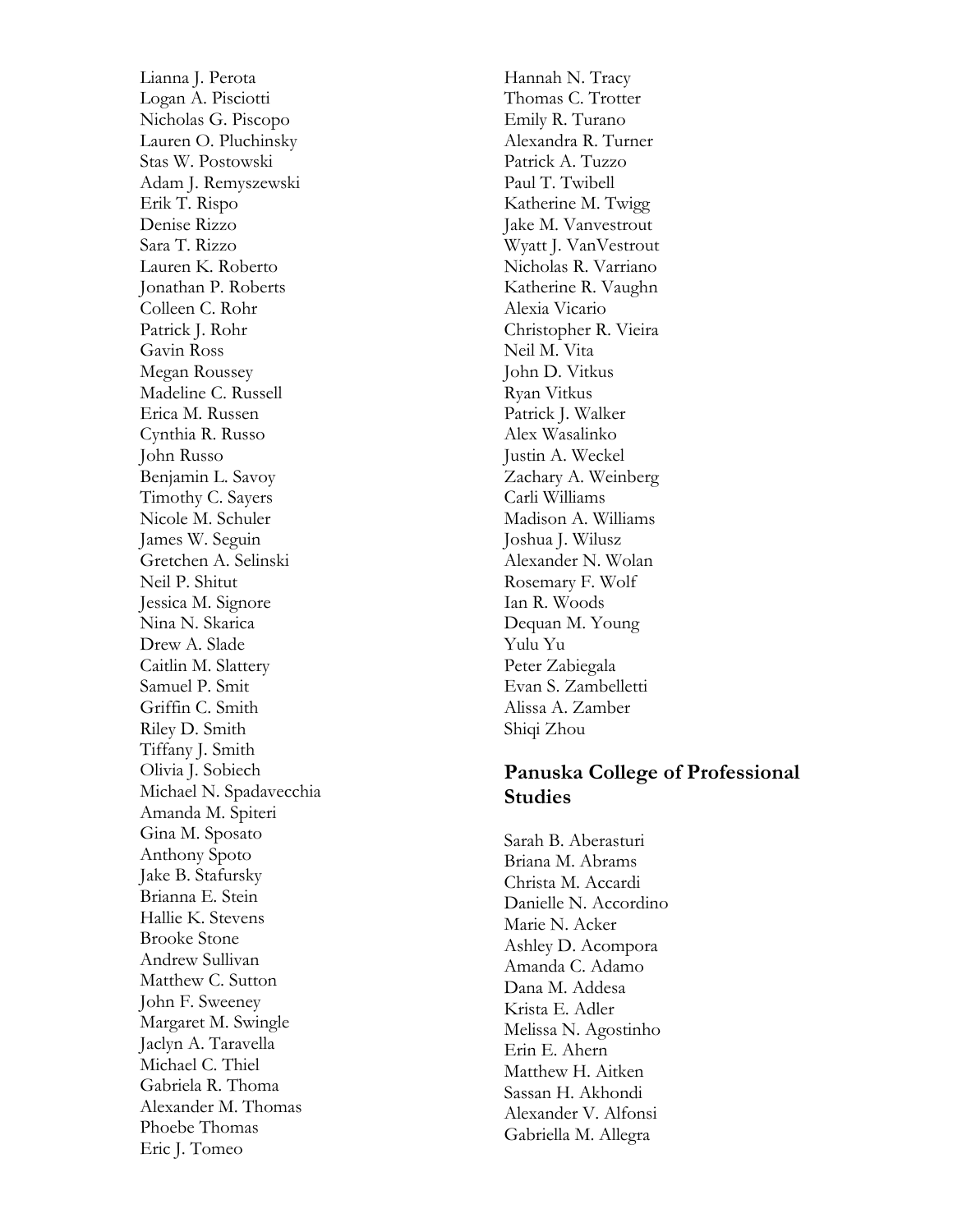Lianna J. Perota Logan A. Pisciotti Nicholas G. Piscopo Lauren O. Pluchinsky Stas W. Postowski Adam J. Remyszewski Erik T. Rispo Denise Rizzo Sara T. Rizzo Lauren K. Roberto Jonathan P. Roberts Colleen C. Rohr Patrick J. Rohr Gavin Ross Megan Roussey Madeline C. Russell Erica M. Russen Cynthia R. Russo John Russo Benjamin L. Savoy Timothy C. Sayers Nicole M. Schuler James W. Seguin Gretchen A. Selinski Neil P. Shitut Jessica M. Signore Nina N. Skarica Drew A. Slade Caitlin M. Slattery Samuel P. Smit Griffin C. Smith Riley D. Smith Tiffany J. Smith Olivia J. Sobiech Michael N. Spadavecchia Amanda M. Spiteri Gina M. Sposato Anthony Spoto Jake B. Stafursky Brianna E. Stein Hallie K. Stevens Brooke Stone Andrew Sullivan Matthew C. Sutton John F. Sweeney Margaret M. Swingle Jaclyn A. Taravella Michael C. Thiel Gabriela R. Thoma Alexander M. Thomas Phoebe Thomas Eric J. Tomeo

Hannah N. Tracy Thomas C. Trotter Emily R. Turano Alexandra R. Turner Patrick A. Tuzzo Paul T. Twibell Katherine M. Twigg Jake M. Vanvestrout Wyatt J. VanVestrout Nicholas R. Varriano Katherine R. Vaughn Alexia Vicario Christopher R. Vieira Neil M. Vita John D. Vitkus Ryan Vitkus Patrick J. Walker Alex Wasalinko Justin A. Weckel Zachary A. Weinberg Carli Williams Madison A. Williams Joshua J. Wilusz Alexander N. Wolan Rosemary F. Wolf Ian R. Woods Dequan M. Young Yulu Yu Peter Zabiegala Evan S. Zambelletti Alissa A. Zamber Shiqi Zhou

## **Panuska College of Professional Studies**

Sarah B. Aberasturi Briana M. Abrams Christa M. Accardi Danielle N. Accordino Marie N. Acker Ashley D. Acompora Amanda C. Adamo Dana M. Addesa Krista E. Adler Melissa N. Agostinho Erin E. Ahern Matthew H. Aitken Sassan H. Akhondi Alexander V. Alfonsi Gabriella M. Allegra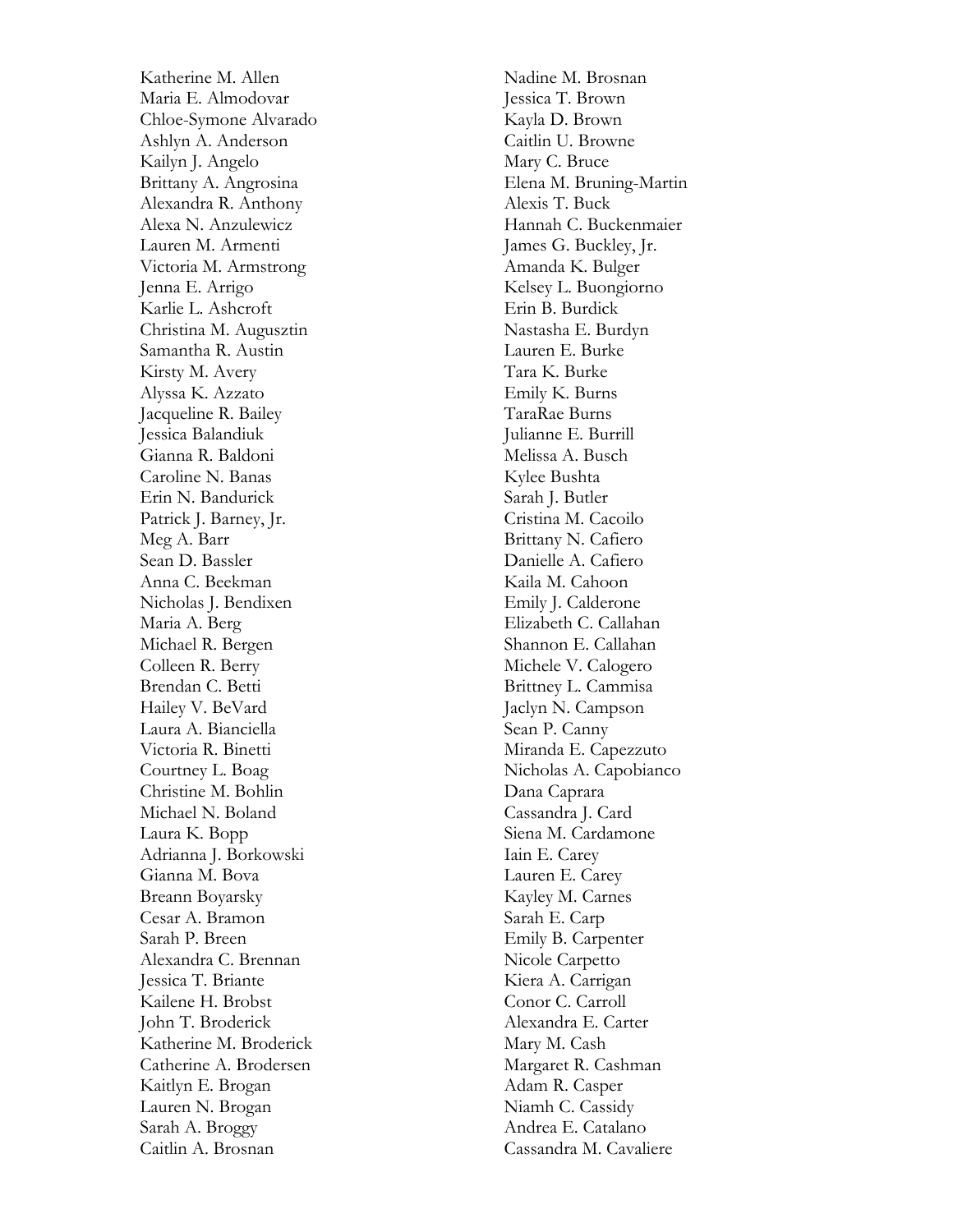Katherine M. Allen Maria E. Almodovar Chloe -Symone Alvarado Ashlyn A. Anderson Kailyn J. Angelo Brittany A. Angrosina Alexandra R. Anthony Alexa N. Anzulewicz Lauren M. Armenti Victoria M. Armstrong Jenna E. Arrigo Karlie L. Ashcroft Christina M. Augusztin Samantha R. Austin Kirsty M. Avery Alyssa K. Azzato Jacqueline R. Bailey Jessica Balandiuk Gianna R. Baldoni Caroline N. Banas Erin N. Bandurick Patrick J. Barney, Jr. Meg A. Barr Sean D. Bassler Anna C. Beekman Nicholas J. Bendixen Maria A. Berg Michael R. Bergen Colleen R. Berry Brendan C. Betti Hailey V. BeVard Laura A. Bianciella Victoria R. Binetti Courtney L. Boag Christine M. Bohlin Michael N. Boland Laura K. Bopp Adrianna J. Borkowski Gianna M. Bova Breann Boyarsky Cesar A. Bramon Sarah P. Breen Alexandra C. Brennan Jessica T. Briante Kailene H. Brobst John T. Broderick Katherine M. Broderick Catherine A. Brodersen Kaitlyn E. Brogan Lauren N. Brogan Sarah A. Broggy Caitlin A. Brosnan

Nadine M. Brosnan Jessica T. Brown Kayla D. Brown Caitlin U. Browne Mary C. Bruce Elena M. Bruning -Martin Alexis T. Buck Hannah C. Buckenmaier James G. Buckley, Jr. Amanda K. Bulger Kelsey L. Buongiorno Erin B. Burdick Nastasha E. Burdyn Lauren E. Burke Tara K. Burke Emily K. Burns TaraRae Burns Julianne E. Burrill Melissa A. Busch Kylee Bushta Sarah J. Butler Cristina M. Cacoilo Brittany N. Cafiero Danielle A. Cafiero Kaila M. Cahoon Emily J. Calderone Elizabeth C. Callahan Shannon E. Callahan Michele V. Calogero Brittney L. Cammisa Jaclyn N. Campson Sean P. Canny Miranda E. Capezzuto Nicholas A. Capobianco Dana Caprara Cassandra J. Card Siena M. Cardamone Iain E. Carey Lauren E. Carey Kayley M. Carnes Sarah E. Carp Emily B. Carpenter Nicole Carpetto Kiera A. Carrigan Conor C. Carroll Alexandra E. Carter Mary M. Cash Margaret R. Cashman Adam R. Casper Niamh C. Cassidy Andrea E. Catalano Cassandra M. Cavaliere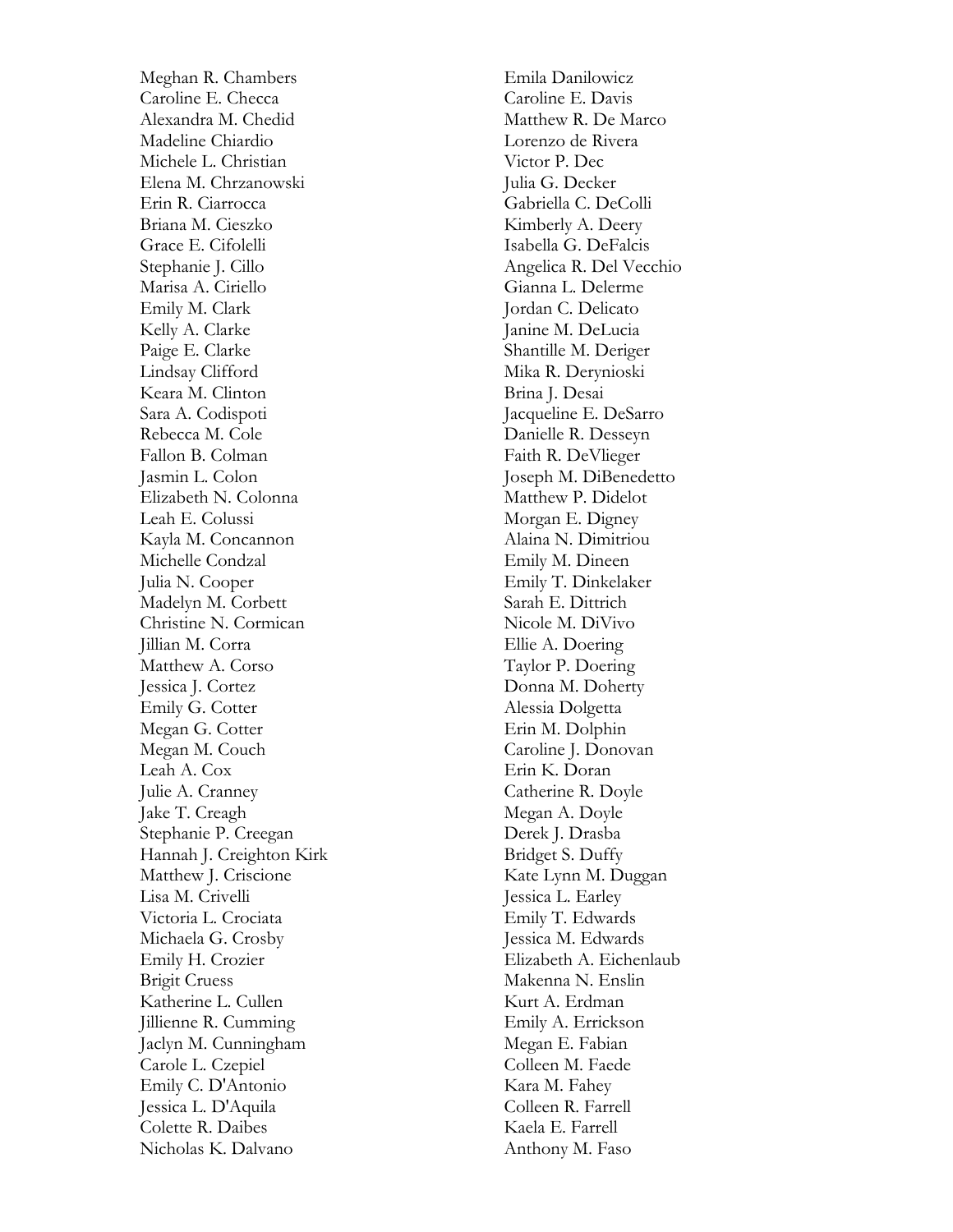Meghan R. Chambers Caroline E. Checca Alexandra M. Chedid Madeline Chiardio Michele L. Christian Elena M. Chrzanowski Erin R. Ciarrocca Briana M. Cieszko Grace E. Cifolelli Stephanie J. Cillo Marisa A. Ciriello Emily M. Clark Kelly A. Clarke Paige E. Clarke Lindsay Clifford Keara M. Clinton Sara A. Codispoti Rebecca M. Cole Fallon B. Colman Jasmin L. Colon Elizabeth N. Colonna Leah E. Colussi Kayla M. Concannon Michelle Condzal Julia N. Cooper Madelyn M. Corbett Christine N. Cormican Jillian M. Corra Matthew A. Corso Jessica J. Cortez Emily G. Cotter Megan G. Cotter Megan M. Couch Leah A. Cox Julie A. Cranney Jake T. Creagh Stephanie P. Creegan Hannah J. Creighton Kirk Matthew J. Criscione Lisa M. Crivelli Victoria L. Crociata Michaela G. Crosby Emily H. Crozier Brigit Cruess Katherine L. Cullen Jillienne R. Cumming Jaclyn M. Cunningham Carole L. Czepiel Emily C. D'Antonio Jessica L. D'Aquila Colette R. Daibes Nicholas K. Dalvano

Emila Danilowicz Caroline E. Davis Matthew R. De Marco Lorenzo de Rivera Victor P. Dec Julia G. Decker Gabriella C. DeColli Kimberly A. Deer y Isabella G. DeFalcis Angelica R. Del Vecchio Gianna L. Delerme Jordan C. Delicato Janine M. DeLucia Shantille M. Deriger Mika R. Derynioski Brina J. Desai Jacqueline E. DeSarro Danielle R. Desseyn Faith R. DeVlieger Joseph M. DiBenedetto Matthew P. Didelot Morgan E. Digney Alaina N. Dimitriou Emily M. Dineen Emily T. Dinkelaker Sarah E. Dittrich Nicole M. DiVivo Ellie A. Doering Taylor P. Doering Donna M. Doherty Alessia Dolgetta Erin M. Dolphin Caroline J. Donovan Erin K. Doran Catherine R. Doyle Megan A. Doyle Derek J. Drasba Bridget S. Duffy Kate Lynn M. Duggan Jessica L. Earley Emily T. Edwards Jessica M. Edwards Elizabeth A. Eichenlaub Makenna N. Enslin Kurt A. Erdman Emily A. Errickson Megan E. Fabian Colleen M. Faede Kara M. Fahey Colleen R. Farrell Kaela E. Farrell Anthony M. Faso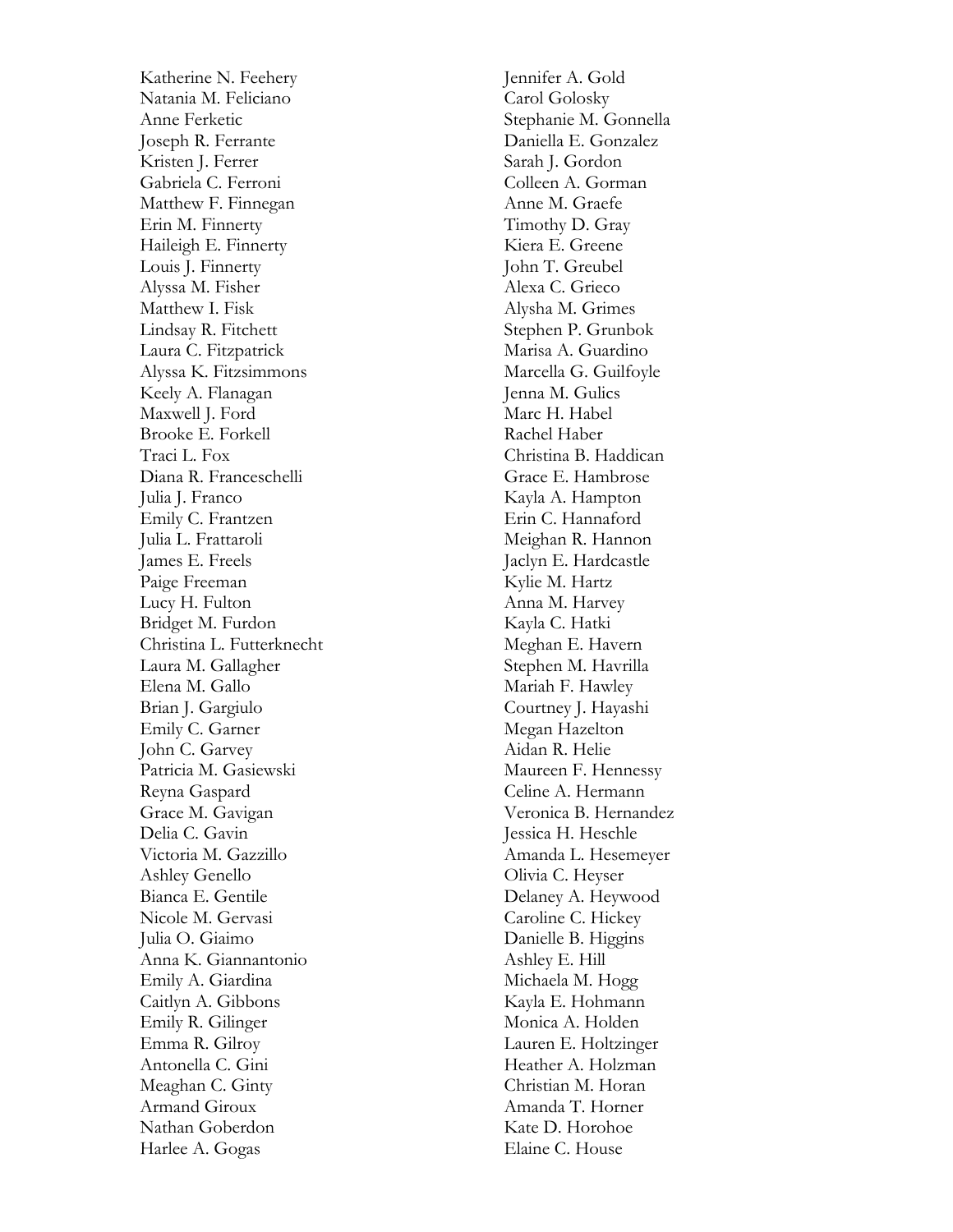Katherine N. Feehery Natania M. Feliciano Anne Ferketic Joseph R. Ferrante Kristen J. Ferrer Gabriela C. Ferroni Matthew F. Finnegan Erin M. Finnerty Haileigh E. Finnerty Louis J. Finnerty Alyssa M. Fisher Matthew I. Fisk Lindsay R. Fitchett Laura C. Fitzpatrick Alyssa K. Fitzsimmons Keely A. Flanagan Maxwell J. Ford Brooke E. Forkell Traci L. Fox Diana R. Franceschelli Julia J. Franco Emily C. Frantzen Julia L. Frattaroli James E. Freels Paige Freeman Lucy H. Fulton Bridget M. Furdon Christina L. Futterknecht Laura M. Gallagher Elena M. Gallo Brian J. Gargiulo Emily C. Garner John C. Garvey Patricia M. Gasiewski Reyna Gaspard Grace M. Gavigan Delia C. Gavin Victoria M. Gazzillo Ashley Genello Bianca E. Gentile Nicole M. Gervasi Julia O. Giaimo Anna K. Giannantonio Emily A. Giardina Caitlyn A. Gibbons Emily R. Gilinger Emma R. Gilroy Antonella C. Gini Meaghan C. Ginty Armand Giroux Nathan Goberdon Harlee A. Gogas

Jennifer A. Gold Carol Golosky Stephanie M. Gonnella Daniella E. Gonzalez Sarah J. Gordon Colleen A. Gorman Anne M. Graefe Timothy D. Gray Kiera E. Greene John T. Greubel Alexa C. Grieco Alysha M. Grimes Stephen P. Grunbok Marisa A. Guardino Marcella G. Guilfoyle Jenna M. Gulics Marc H. Habel Rachel Haber Christina B. Haddican Grace E. Hambrose Kayla A. Hampton Erin C. Hannaford Meighan R. Hannon Jaclyn E. Hardcastle Kylie M. Hartz Anna M. Harvey Kayla C. Hatki Meghan E. Havern Stephen M. Havrilla Mariah F. Hawley Courtney J. Hayashi Megan Hazelton Aidan R. Helie Maureen F. Hennessy Celine A. Hermann Veronica B. Hernandez Jessica H. Heschle Amanda L. Hesemeyer Olivia C. Heyser Delaney A. Heywood Caroline C. Hickey Danielle B. Higgins Ashley E. Hill Michaela M. Hogg Kayla E. Hohmann Monica A. Holden Lauren E. Holtzinger Heather A. Holzman Christian M. Horan Amanda T. Horner Kate D. Horohoe Elaine C. House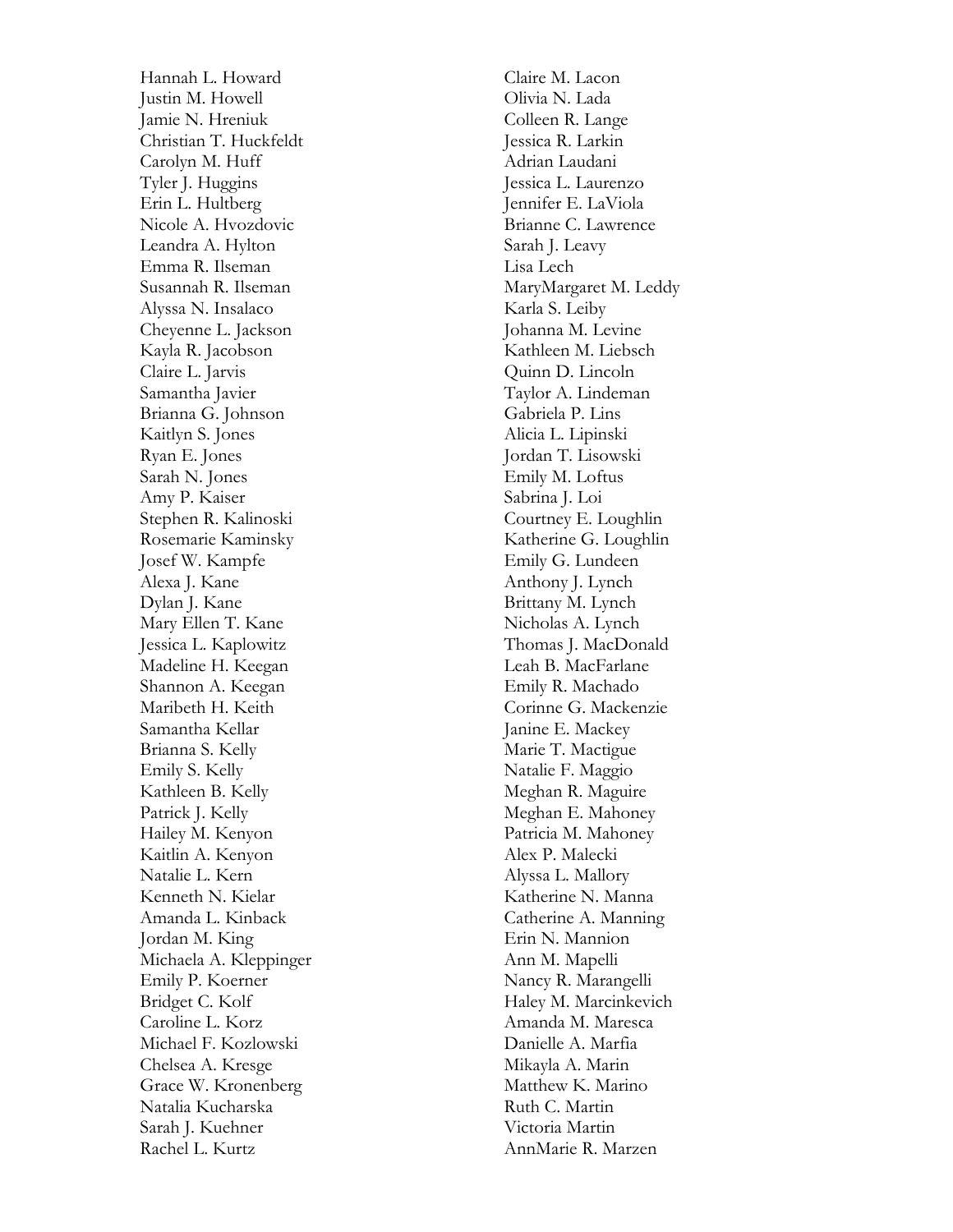Hannah L. Howard Justin M. Howell Jamie N. Hreniuk Christian T. Huckfeldt Carolyn M. Huff Tyler J. Huggins Erin L. Hultberg Nicole A. Hvozdovic Leandra A. Hylton Emma R. Ilseman Susannah R. Ilseman Alyssa N. Insalaco Cheyenne L. Jackson Kayla R. Jacobson Claire L. Jarvis Samantha Javier Brianna G. Johnson Kaitlyn S. Jones Ryan E. Jones Sarah N. Jones Amy P. Kaiser Stephen R. Kalinoski Rosemarie Kaminsky Josef W. Kampfe Alexa J. Kane Dylan J. Kane Mary Ellen T. Kane Jessica L. Kaplowitz Madeline H. Keegan Shannon A. Keegan Maribeth H. Keith Samantha Kellar Brianna S. Kelly Emily S. Kelly Kathleen B. Kelly Patrick J. Kelly Hailey M. Kenyon Kaitlin A. Kenyon Natalie L. Kern Kenneth N. Kielar Amanda L. Kinback Jordan M. King Michaela A. Kleppinger Emily P. Koerner Bridget C. Kolf Caroline L. Korz Michael F. Kozlowski Chelsea A. Kresge Grace W. Kronenberg Natalia Kucharska Sarah J. Kuehner Rachel L. Kurtz

Claire M. Lacon Olivia N. Lada Colleen R. Lange Jessica R. Larkin Adrian Laudani Jessica L. Laurenzo Jennifer E. LaViola Brianne C. Lawrence Sarah J. Leavy Lisa Lech MaryMargaret M. Leddy Karla S. Leiby Johanna M. Levine Kathleen M. Liebsch Quinn D. Lincoln Taylor A. Lindeman Gabriela P. Lins Alicia L. Lipinski Jordan T. Lisowski Emily M. Loftus Sabrina J. Loi Courtney E. Loughlin Katherine G. Loughlin Emily G. Lundeen Anthony J. Lynch Brittany M. Lynch Nicholas A. Lynch Thomas J. MacDonald Leah B. MacFarlane Emily R. Machado Corinne G. Mackenzie Janine E. Mackey Marie T. Mactigue Natalie F. Maggio Meghan R. Maguire Meghan E. Mahoney Patricia M. Mahoney Alex P. Malecki Alyssa L. Mallory Katherine N. Manna Catherine A. Manning Erin N. Mannion Ann M. Mapelli Nancy R. Marangelli Haley M. Marcinkevich Amanda M. Maresca Danielle A. Marfia Mikayla A. Marin Matthew K. Marino Ruth C. Martin Victoria Martin AnnMarie R. Marzen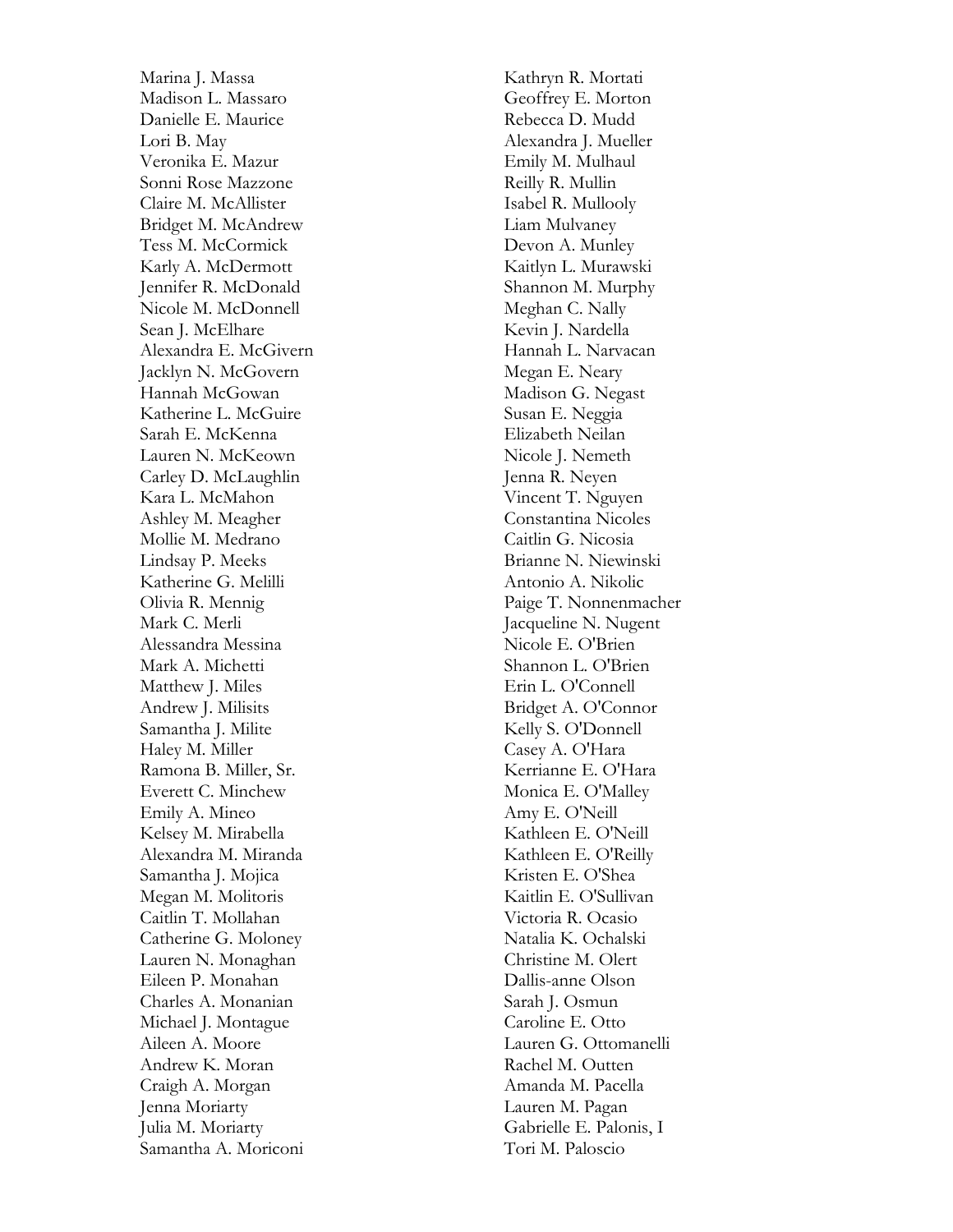Marina J. Massa Madison L. Massaro Danielle E. Maurice Lori B. May Veronika E. Mazur Sonni Rose Mazzone Claire M. McAllister Bridget M. McAndrew Tess M. McCormick Karly A. McDermott Jennifer R. McDonald Nicole M. McDonnell Sean J. McElhare Alexandra E. McGivern Jacklyn N. McGovern Hannah McGowan Katherine L. McGuire Sarah E. McKenna Lauren N. McKeown Carley D. McLaughlin Kara L. McMahon Ashley M. Meagher Mollie M. Medrano Lindsay P. Meeks Katherine G. Melilli Olivia R. Mennig Mark C. Merli Alessandra Messina Mark A. Michetti Matthew J. Miles Andrew J. Milisits Samantha J. Milite Haley M. Miller Ramona B. Miller, Sr. Everett C. Minchew Emily A. Mineo Kelsey M. Mirabella Alexandra M. Miranda Samantha J. Mojica Megan M. Molitoris Caitlin T. Mollahan Catherine G. Moloney Lauren N. Monaghan Eileen P. Monahan Charles A. Monanian Michael J. Montague Aileen A. Moore Andrew K. Moran Craigh A. Morgan Jenna Moriarty Julia M. Moriarty Samantha A. Moriconi

Kathryn R. Mortati Geoffrey E. Morton Rebecca D. Mudd Alexandra J. Mueller Emily M. Mulhaul Reilly R. Mullin Isabel R. Mullooly Liam Mulvaney Devon A. Munley Kaitlyn L. Murawski Shannon M. Murphy Meghan C. Nally Kevin J. Nardella Hannah L. Narvacan Megan E. Neary Madison G. Negast Susan E. Neggia Elizabeth Neilan Nicole J. Nemeth Jenna R. Neyen Vincent T. Nguyen Constantina Nicoles Caitlin G. Nicosia Brianne N. Niewinski Antonio A. Nikolic Paige T. Nonnenmacher Jacqueline N. Nugent Nicole E. O'Brien Shannon L. O'Brien Erin L. O'Connell Bridget A. O'Connor Kelly S. O'Donnell Casey A. O'Hara Kerrianne E. O'Hara Monica E. O'Malley Amy E. O'Neill Kathleen E. O'Neill Kathleen E. O'Reilly Kristen E. O'Shea Kaitlin E. O'Sullivan Victoria R. Ocasio Natalia K. Ochalski Christine M. Olert Dallis -anne Olson Sarah J. Osmun Caroline E. Otto Lauren G. Ottomanelli Rachel M. Outten Amanda M. Pacella Lauren M. Pagan Gabrielle E. Palonis, I Tori M. Paloscio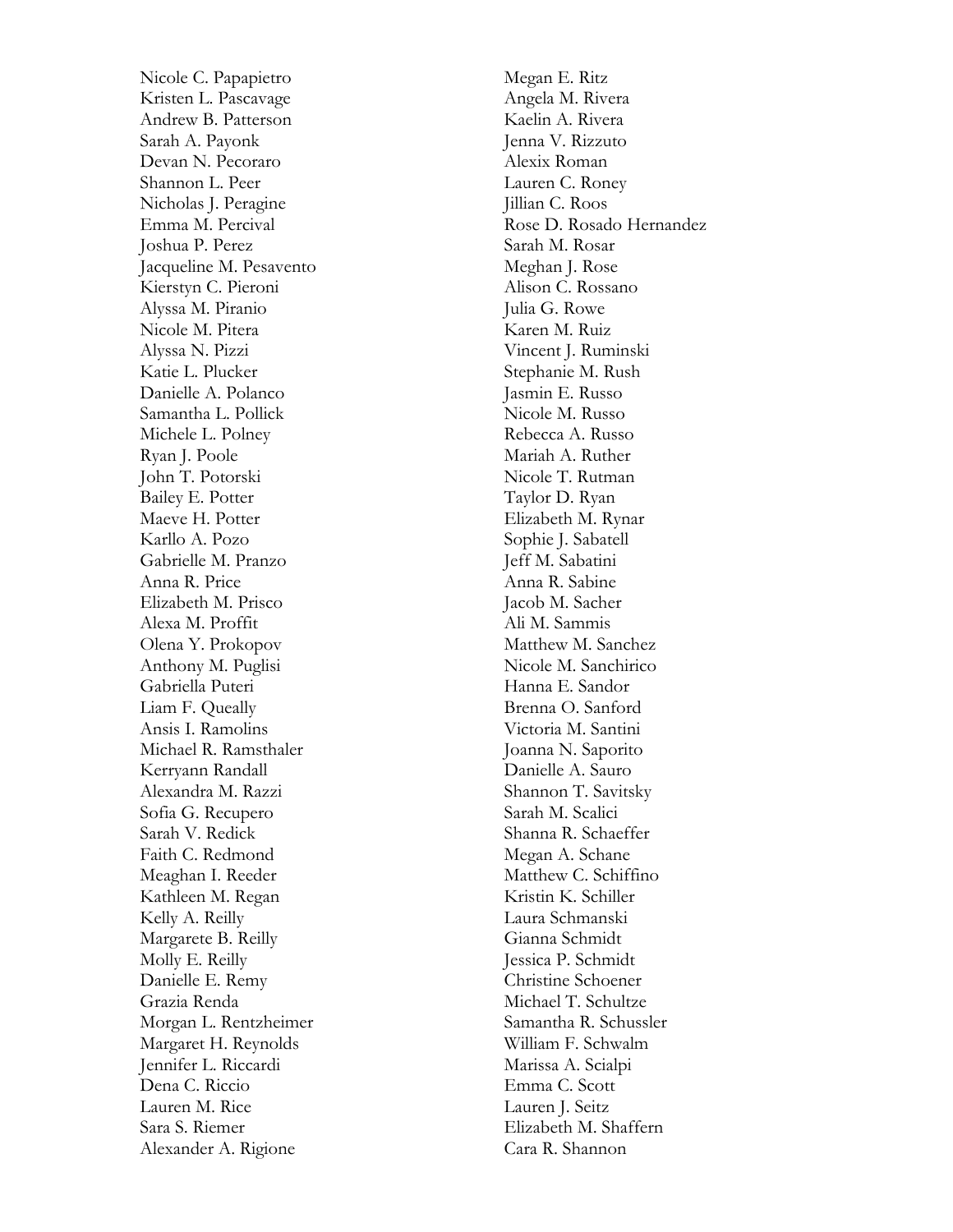Nicole C. Papapietro Kristen L. Pascavage Andrew B. Patterson Sarah A. Payonk Devan N. Pecoraro Shannon L. Peer Nicholas J. Peragine Emma M. Percival Joshua P. Perez Jacqueline M. Pesavento Kierstyn C. Pieroni Alyssa M. Piranio Nicole M. Pitera Alyssa N. Pizzi Katie L. Plucker Danielle A. Polanco Samantha L. Pollick Michele L. Polney Ryan J. Poole John T. Potorski Bailey E. Potter Maeve H. Potter Karllo A. Pozo Gabrielle M. Pranzo Anna R. Price Elizabeth M. Prisco Alexa M. Proffit Olena Y. Prokopov Anthony M. Puglisi Gabriella Puteri Liam F. Queally Ansis I. Ramolins Michael R. Ramsthaler Kerryann Randall Alexandra M. Razzi Sofia G. Recupero Sarah V. Redick Faith C. Redmond Meaghan I. Reeder Kathleen M. Regan Kelly A. Reilly Margarete B. Reilly Molly E. Reilly Danielle E. Remy Grazia Renda Morgan L. Rentzheimer Margaret H. Reynolds Jennifer L. Riccardi Dena C. Riccio Lauren M. Rice Sara S. Riemer Alexander A. Rigione

Megan E. Ritz Angela M. Rivera Kaelin A. Rivera Jenna V. Rizzuto Alexix Roman Lauren C. Roney Jillian C. Roos Rose D. Rosado Hernandez Sarah M. Rosar Meghan J. Rose Alison C. Rossano Julia G. Rowe Karen M. Ruiz Vincent J. Ruminski Stephanie M. Rush Jasmin E. Russo Nicole M. Russo Rebecca A. Russo Mariah A. Ruther Nicole T. Rutman Taylor D. Ryan Elizabeth M. Rynar Sophie J. Sabatell Jeff M. Sabatini Anna R. Sabine Jacob M. Sacher Ali M. Sammis Matthew M. Sanchez Nicole M. Sanchirico Hanna E. Sandor Brenna O. Sanford Victoria M. Santini Joanna N. Saporito Danielle A. Sauro Shannon T. Savitsky Sarah M. Scalici Shanna R. Schaeffer Megan A. Schane Matthew C. Schiffino Kristin K. Schiller Laura Schmanski Gianna Schmidt Jessica P. Schmidt Christine Schoener Michael T. Schultze Samantha R. Schussler William F. Schwalm Marissa A. Scialpi Emma C. Scott Lauren J. Seitz Elizabeth M. Shaffern Cara R. Shannon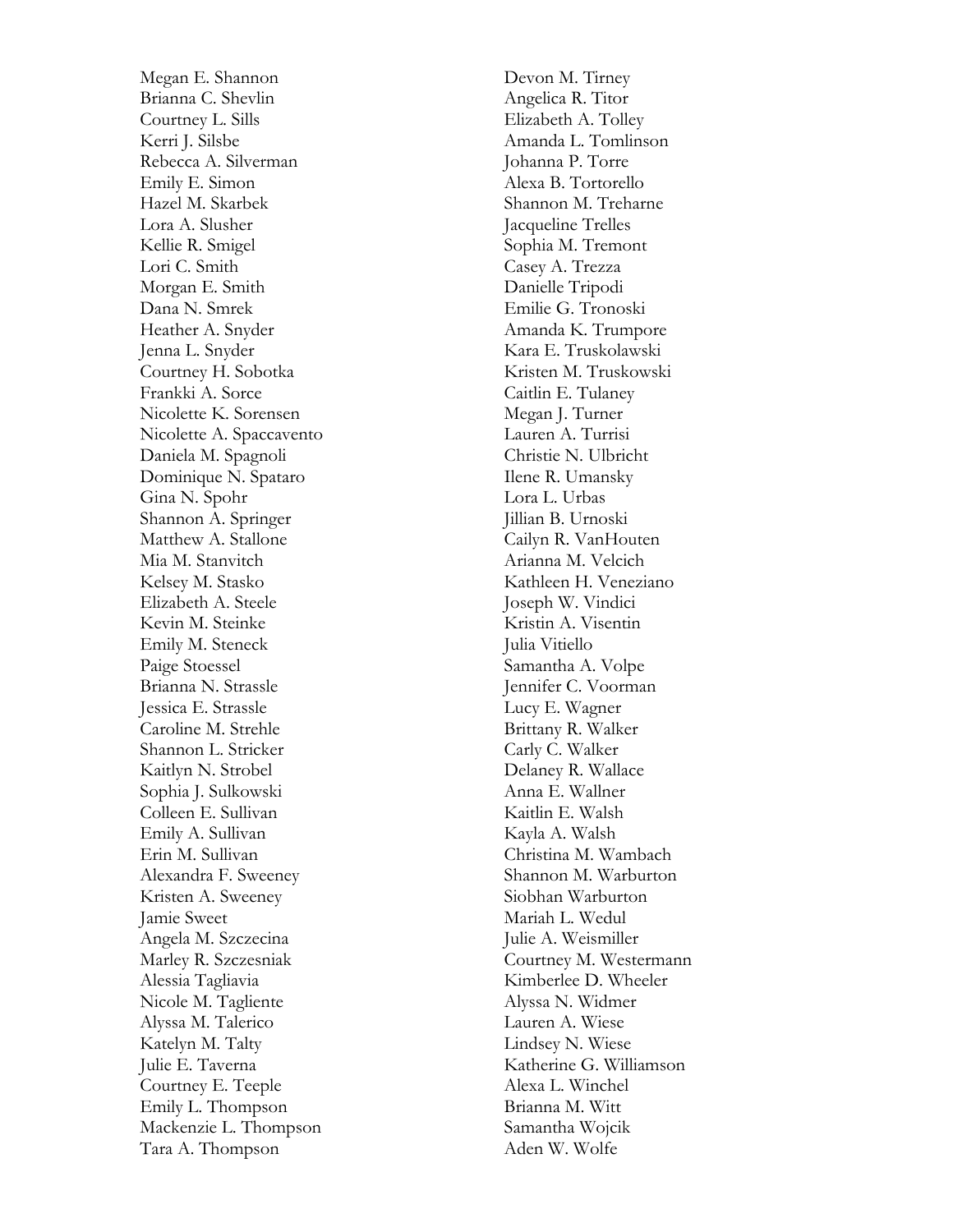Megan E. Shannon Brianna C. Shevlin Courtney L. Sills Kerri J. Silsbe Rebecca A. Silverman Emily E. Simon Hazel M. Skarbek Lora A. Slusher Kellie R. Smigel Lori C. Smith Morgan E. Smith Dana N. Smrek Heather A. Snyder Jenna L. Snyder Courtney H. Sobotka Frankki A. Sorce Nicolette K. Sorensen Nicolette A. Spaccavento Daniela M. Spagnoli Dominique N. Spataro Gina N. Spohr Shannon A. Springer Matthew A. Stallone Mia M. Stanvitch Kelsey M. Stasko Elizabeth A. Steele Kevin M. Steinke Emily M. Steneck Paige Stoessel Brianna N. Strassle Jessica E. Strassle Caroline M. Strehle Shannon L. Stricker Kaitlyn N. Strobel Sophia J. Sulkowski Colleen E. Sullivan Emily A. Sullivan Erin M. Sullivan Alexandra F. Sweeney Kristen A. Sweeney Jamie Sweet Angela M. Szczecina Marley R. Szczesniak Alessia Tagliavia Nicole M. Tagliente Alyssa M. Talerico Katelyn M. Talty Julie E. Taverna Courtney E. Teeple Emily L. Thompson Mackenzie L. Thompson Tara A. Thompson

Devon M. Tirney Angelica R. Titor Elizabeth A. Tolley Amanda L. Tomlinson Johanna P. Torre Alexa B. Tortorello Shannon M. Treharne Jacqueline Trelles Sophia M. Tremont Casey A. Trezza Danielle Tripodi Emilie G. Tronoski Amanda K. Trumpore Kara E. Truskolawski Kristen M. Truskowski Caitlin E. Tulaney Megan J. Turner Lauren A. Turrisi Christie N. Ulbricht Ilene R. Umansky Lora L. Urbas Jillian B. Urnoski Cailyn R. VanHouten Arianna M. Velcich Kathleen H. Veneziano Joseph W. Vindici Kristin A. Visentin Julia Vitiello Samantha A. Volpe Jennifer C. Voorman Lucy E. Wagner Brittany R. Walker Carly C. Walker Delaney R. Wallace Anna E. Wallner Kaitlin E. Walsh Kayla A. Walsh Christina M. Wambach Shannon M. Warburton Siobhan Warburton Mariah L. Wedul Julie A. Weismiller Courtney M. Westermann Kimberlee D. Wheeler Alyssa N. Widmer Lauren A. Wiese Lindsey N. Wiese Katherine G. Williamson Alexa L. Winchel Brianna M. Witt Samantha Wojcik Aden W. Wolfe